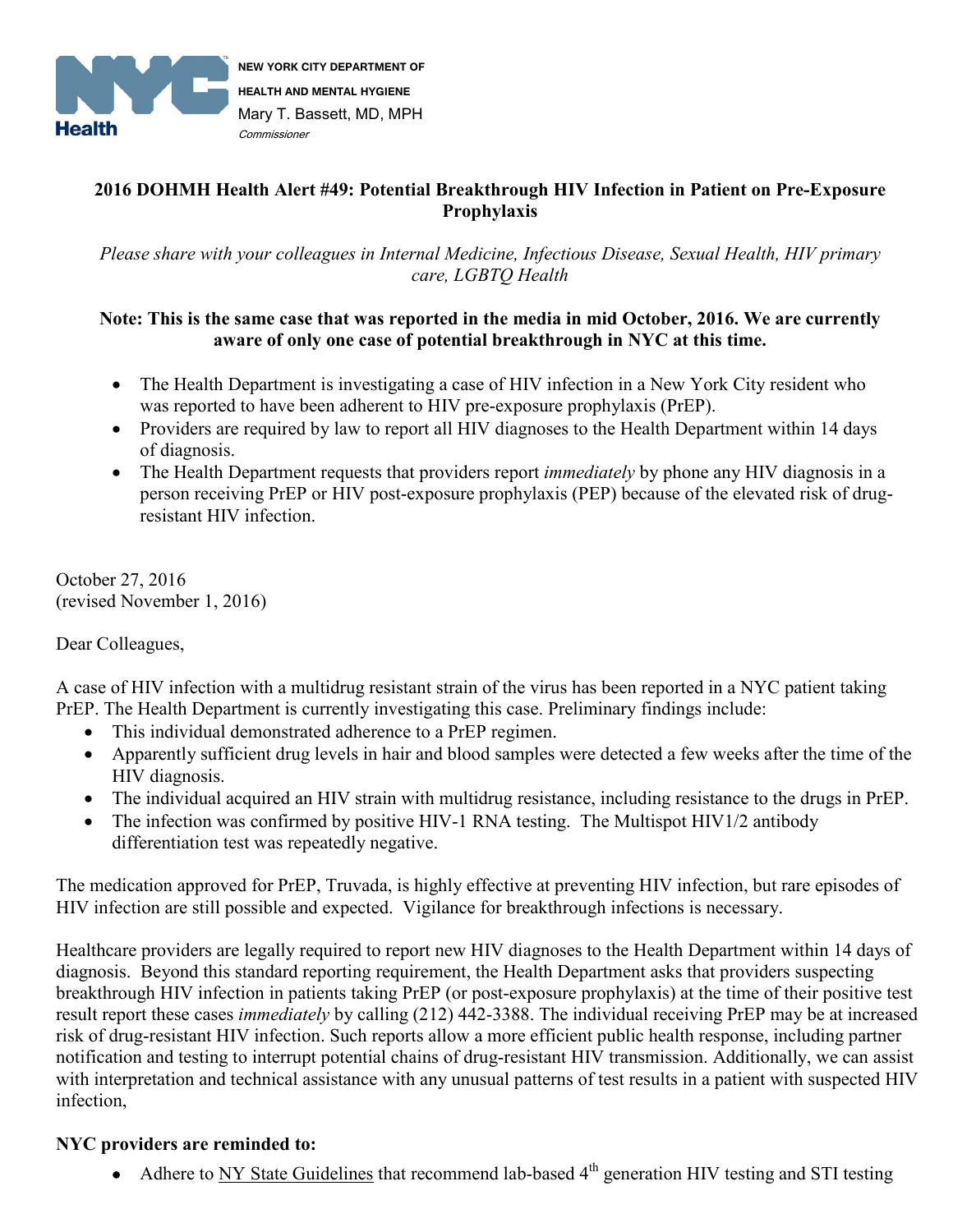

**NEW YORK CITY DEPARTMENT OF HEALTH AND MENTAL HYGIENE** Mary T. Bassett, MD, MPH Commissioner

## **2016 DOHMH Health Alert #49: Potential Breakthrough HIV Infection in Patient on Pre-Exposure Prophylaxis**

*Please share with your colleagues in Internal Medicine, Infectious Disease, Sexual Health, HIV primary care, LGBTQ Health* 

## **Note: This is the same case that was reported in the media in mid October, 2016. We are currently aware of only one case of potential breakthrough in NYC at this time.**

- The Health Department is investigating a case of HIV infection in a New York City resident who was reported to have been adherent to HIV pre-exposure prophylaxis (PrEP).
- Providers are required by law to report all HIV diagnoses to the Health Department within 14 days of diagnosis.
- The Health Department requests that providers report *immediately* by phone any HIV diagnosis in a person receiving PrEP or HIV post-exposure prophylaxis (PEP) because of the elevated risk of drugresistant HIV infection.

October 27, 2016 (revised November 1, 2016)

Dear Colleagues,

A case of HIV infection with a multidrug resistant strain of the virus has been reported in a NYC patient taking PrEP. The Health Department is currently investigating this case. Preliminary findings include:

- This individual demonstrated adherence to a PrEP regimen.
- Apparently sufficient drug levels in hair and blood samples were detected a few weeks after the time of the HIV diagnosis.
- The individual acquired an HIV strain with multidrug resistance, including resistance to the drugs in PrEP.
- The infection was confirmed by positive HIV-1 RNA testing. The Multispot HIV1/2 antibody differentiation test was repeatedly negative.

The medication approved for PrEP, Truvada, is highly effective at preventing HIV infection, but rare episodes of HIV infection are still possible and expected. Vigilance for breakthrough infections is necessary.

Healthcare providers are legally required to report new HIV diagnoses to the Health Department within 14 days of diagnosis. Beyond this standard reporting requirement, the Health Department asks that providers suspecting breakthrough HIV infection in patients taking PrEP (or post-exposure prophylaxis) at the time of their positive test result report these cases *immediately* by calling (212) 442-3388. The individual receiving PrEP may be at increased risk of drug-resistant HIV infection. Such reports allow a more efficient public health response, including partner notification and testing to interrupt potential chains of drug-resistant HIV transmission. Additionally, we can assist with interpretation and technical assistance with any unusual patterns of test results in a patient with suspected HIV infection,

## **NYC providers are reminded to:**

• Adhere to [NY State Guidelines](http://www.hivguidelines.org/clincial-guidelines/pre-exposure-prophylaxis/guidance-for-the%20use-of-pre-exposure-prophylaxis-prep-to-prevent-hiv-transmission/) that recommend lab-based  $4<sup>th</sup>$  generation HIV testing and STI testing